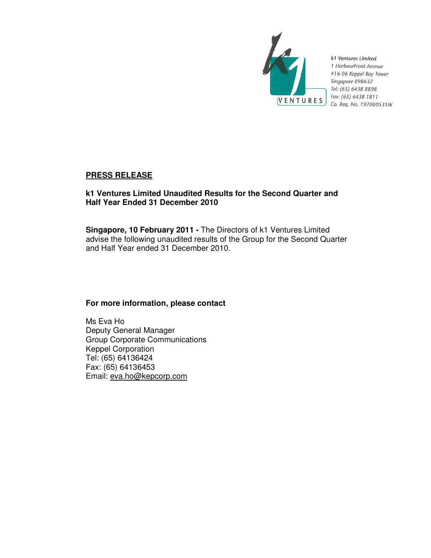

k1 Ventures Limited 1 HarbourFront Avenue #16-06 Keppel Bay Tower Singapore 098632 Tel: (65) 6438 8898 Fax: (65) 6438 1811 Co. Reg. No. 197000535W

# **PRESS RELEASE**

# **k1 Ventures Limited Unaudited Results for the Second Quarter and Half Year Ended 31 December 2010**

**Singapore, 10 February 2011 -** The Directors of k1 Ventures Limited advise the following unaudited results of the Group for the Second Quarter and Half Year ended 31 December 2010.

## **For more information, please contact**

Ms Eva Ho Deputy General Manager Group Corporate Communications Keppel Corporation Tel: (65) 64136424 Fax: (65) 64136453 Email: eva.ho@kepcorp.com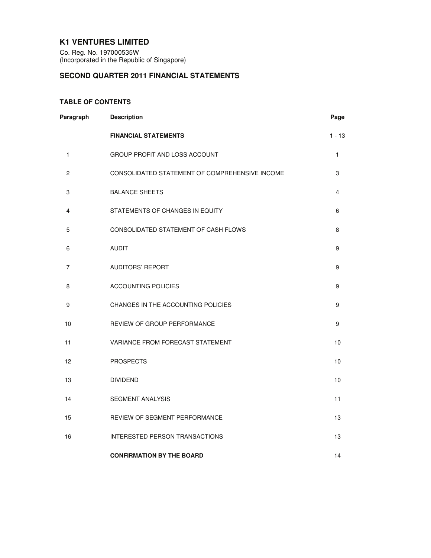## **K1 VENTURES LIMITED**

Co. Reg. No. 197000535W (Incorporated in the Republic of Singapore)

# **SECOND QUARTER 2011 FINANCIAL STATEMENTS**

## **TABLE OF CONTENTS**

| Paragraph      | <b>Description</b>                             | Page     |
|----------------|------------------------------------------------|----------|
|                | <b>FINANCIAL STATEMENTS</b>                    | $1 - 13$ |
| 1              | GROUP PROFIT AND LOSS ACCOUNT                  | 1        |
| $\overline{c}$ | CONSOLIDATED STATEMENT OF COMPREHENSIVE INCOME | 3        |
| 3              | <b>BALANCE SHEETS</b>                          | 4        |
| 4              | STATEMENTS OF CHANGES IN EQUITY                | 6        |
| 5              | CONSOLIDATED STATEMENT OF CASH FLOWS           | 8        |
| 6              | <b>AUDIT</b>                                   | 9        |
| 7              | <b>AUDITORS' REPORT</b>                        | 9        |
| 8              | <b>ACCOUNTING POLICIES</b>                     | 9        |
| 9              | CHANGES IN THE ACCOUNTING POLICIES             | 9        |
| 10             | REVIEW OF GROUP PERFORMANCE                    | 9        |
| 11             | VARIANCE FROM FORECAST STATEMENT               | 10       |
| 12             | <b>PROSPECTS</b>                               | 10       |
| 13             | <b>DIVIDEND</b>                                | 10       |
| 14             | <b>SEGMENT ANALYSIS</b>                        | 11       |
| 15             | <b>REVIEW OF SEGMENT PERFORMANCE</b>           | 13       |
| 16             | INTERESTED PERSON TRANSACTIONS                 | 13       |
|                | <b>CONFIRMATION BY THE BOARD</b>               | 14       |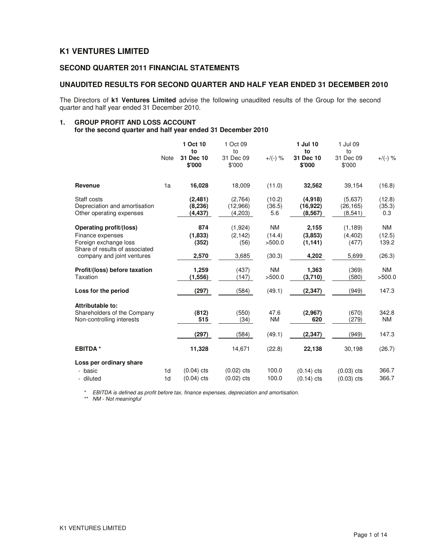## **K1 VENTURES LIMITED**

## **SECOND QUARTER 2011 FINANCIAL STATEMENTS**

#### **UNAUDITED RESULTS FOR SECOND QUARTER AND HALF YEAR ENDED 31 DECEMBER 2010**

The Directors of **k1 Ventures Limited** advise the following unaudited results of the Group for the second quarter and half year ended 31 December 2010.

## **1. GROUP PROFIT AND LOSS ACCOUNT**

**for the second quarter and half year ended 31 December 2010** 

|                                                                                                                                             | <b>Note</b>                      | 1 Oct 10<br>to<br>31 Dec 10<br>\$'000 | 1 Oct 09<br>to<br>31 Dec 09<br>\$'000 | $+/(-)$ %                               | 1 Jul 10<br>to<br>31 Dec 10<br>\$'000 | 1 Jul 09<br>to<br>31 Dec 09<br>\$'000  | $+/(-)$ %                              |
|---------------------------------------------------------------------------------------------------------------------------------------------|----------------------------------|---------------------------------------|---------------------------------------|-----------------------------------------|---------------------------------------|----------------------------------------|----------------------------------------|
| Revenue                                                                                                                                     | 1a                               | 16,028                                | 18,009                                | (11.0)                                  | 32,562                                | 39.154                                 | (16.8)                                 |
| Staff costs<br>Depreciation and amortisation<br>Other operating expenses                                                                    |                                  | (2,481)<br>(8, 236)<br>(4, 437)       | (2,764)<br>(12,966)<br>(4,203)        | (10.2)<br>(36.5)<br>5.6                 | (4,918)<br>(16, 922)<br>(8, 567)      | (5.637)<br>(26, 165)<br>(8, 541)       | (12.8)<br>(35.3)<br>0.3                |
| <b>Operating profit/(loss)</b><br>Finance expenses<br>Foreign exchange loss<br>Share of results of associated<br>company and joint ventures |                                  | 874<br>(1,833)<br>(352)<br>2,570      | (1,924)<br>(2, 142)<br>(56)<br>3,685  | <b>NM</b><br>(14.4)<br>>500.0<br>(30.3) | 2,155<br>(3,853)<br>(1, 141)<br>4,202 | (1, 189)<br>(4, 402)<br>(477)<br>5,699 | <b>NM</b><br>(12.5)<br>139.2<br>(26.3) |
| Profit/(loss) before taxation<br>Taxation                                                                                                   |                                  | 1,259<br>(1, 556)                     | (437)<br>(147)                        | <b>NM</b><br>>500.0                     | 1,363<br>(3,710)                      | (369)<br>(580)                         | <b>NM</b><br>>500.0                    |
| Loss for the period                                                                                                                         |                                  | (297)                                 | (584)                                 | (49.1)                                  | (2, 347)                              | (949)                                  | 147.3                                  |
| Attributable to:<br>Shareholders of the Company<br>Non-controlling interests                                                                |                                  | (812)<br>515                          | (550)<br>(34)                         | 47.6<br><b>NM</b>                       | (2,967)<br>620                        | (670)<br>(279)                         | 342.8<br><b>NM</b>                     |
|                                                                                                                                             |                                  | (297)                                 | (584)                                 | (49.1)                                  | (2, 347)                              | (949)                                  | 147.3                                  |
| <b>EBITDA*</b>                                                                                                                              |                                  | 11,328                                | 14,671                                | (22.8)                                  | 22,138                                | 30,198                                 | (26.7)                                 |
| Loss per ordinary share                                                                                                                     |                                  |                                       |                                       |                                         |                                       |                                        |                                        |
| - basic<br>- diluted                                                                                                                        | 1 <sub>d</sub><br>1 <sub>d</sub> | $(0.04)$ cts<br>$(0.04)$ cts          | $(0.02)$ cts<br>$(0.02)$ cts          | 100.0<br>100.0                          | $(0.14)$ cts<br>$(0.14)$ cts          | $(0.03)$ cts<br>$(0.03)$ cts           | 366.7<br>366.7                         |

\* EBITDA is defined as profit before tax, finance expenses, depreciation and amortisation.

\*\* NM - Not meaningful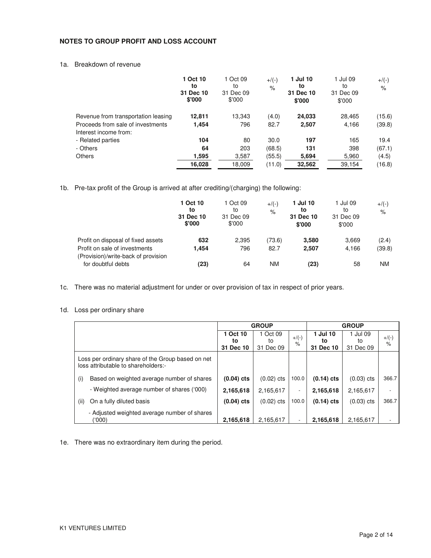#### **NOTES TO GROUP PROFIT AND LOSS ACCOUNT**

## 1a. Breakdown of revenue

|                                                            | 1 Oct 10<br>to<br>31 Dec 10<br>\$'000 | 1 Oct 09<br>to<br>31 Dec 09<br>\$'000 | $+/(-)$<br>$\%$ | 1 Jul 10<br>to<br>31 Dec 10<br>\$'000 | 1 Jul 09<br>to<br>31 Dec 09<br>\$'000 | $+$ /(-)<br>$\%$ |
|------------------------------------------------------------|---------------------------------------|---------------------------------------|-----------------|---------------------------------------|---------------------------------------|------------------|
| Revenue from transportation leasing                        | 12,811                                | 13,343                                | (4.0)           | 24,033                                | 28.465                                | (15.6)           |
| Proceeds from sale of investments<br>Interest income from: | 1,454                                 | 796                                   | 82.7            | 2,507                                 | 4,166                                 | (39.8)           |
| - Related parties                                          | 104                                   | 80                                    | 30.0            | 197                                   | 165                                   | 19.4             |
| - Others                                                   | 64                                    | 203                                   | (68.5)          | 131                                   | 398                                   | (67.1)           |
| <b>Others</b>                                              | 1,595                                 | 3.587                                 | (55.5)          | 5,694                                 | 5,960                                 | (4.5)            |
|                                                            | 16,028                                | 18,009                                | (11.0)          | 32,562                                | 39,154                                | (16.8)           |

1b. Pre-tax profit of the Group is arrived at after crediting/(charging) the following:

|                                                                      | 1 Oct 10<br>to<br>31 Dec 10<br>\$'000 | 1 Oct 09<br>to<br>31 Dec 09<br>\$'000 | $+$ /(-)<br>% | 1 Jul 10<br>to<br>31 Dec 10<br>\$'000 | 1 Jul 09<br>to<br>31 Dec 09<br>\$'000 | $+$ /(-)<br>$\%$ |
|----------------------------------------------------------------------|---------------------------------------|---------------------------------------|---------------|---------------------------------------|---------------------------------------|------------------|
| Profit on disposal of fixed assets                                   | 632                                   | 2,395                                 | (73.6)        | 3,580                                 | 3.669                                 | (2.4)            |
| Profit on sale of investments<br>(Provision)/write-back of provision | 1.454                                 | 796                                   | 82.7          | 2,507                                 | 4,166                                 | (39.8)           |
| for doubtful debts                                                   | (23)                                  | 64                                    | <b>NM</b>     | (23)                                  | 58                                    | ΝM               |

1c. There was no material adjustment for under or over provision of tax in respect of prior years.

## 1d. Loss per ordinary share

|      |                                                                                          |              | <b>GROUP</b> |                          |              | <b>GROUP</b> |                          |
|------|------------------------------------------------------------------------------------------|--------------|--------------|--------------------------|--------------|--------------|--------------------------|
|      |                                                                                          | 1 Oct 10     | 1 Oct 09     | $+$ /(-)                 | 1 Jul 10     | 1 Jul 09     |                          |
|      |                                                                                          | to           | to           | $\%$                     | to           | to           | $+/(-)$<br>$\frac{1}{6}$ |
|      |                                                                                          | 31 Dec 10    | 31 Dec 09    |                          | 31 Dec 10    | 31 Dec 09    |                          |
|      | Loss per ordinary share of the Group based on net<br>loss attributable to shareholders:- |              |              |                          |              |              |                          |
| (i)  | Based on weighted average number of shares                                               | $(0.04)$ cts | $(0.02)$ cts | 100.0                    | $(0.14)$ cts | $(0.03)$ cts | 366.7                    |
|      | - Weighted average number of shares ('000)                                               | 2,165,618    | 2,165,617    | $\overline{\phantom{a}}$ | 2,165,618    | 2,165,617    | $\overline{\phantom{a}}$ |
| (ii) | On a fully diluted basis                                                                 | $(0.04)$ cts | $(0.02)$ cts | 100.0                    | $(0.14)$ cts | $(0.03)$ cts | 366.7                    |
|      | - Adjusted weighted average number of shares<br>('000)                                   | 2,165,618    | 2.165.617    | $\overline{\phantom{a}}$ | 2,165,618    | 2,165,617    | $\overline{\phantom{a}}$ |

1e. There was no extraordinary item during the period.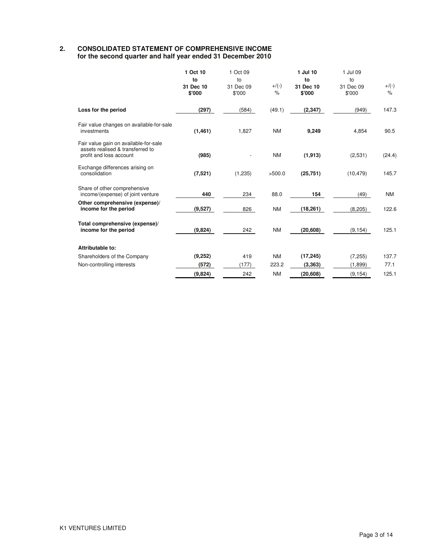#### **2. CONSOLIDATED STATEMENT OF COMPREHENSIVE INCOME for the second quarter and half year ended 31 December 2010**

|                                                                                                      | 1 Oct 10<br>to<br>31 Dec 10<br>\$'000 | 1 Oct 09<br>to<br>31 Dec 09<br>\$'000 | $+/(-)$<br>$\%$ | 1 Jul 10<br>to<br>31 Dec 10<br>\$'000 | 1 Jul 09<br>to<br>31 Dec 09<br>\$'000 | $+/(-)$<br>$\%$ |
|------------------------------------------------------------------------------------------------------|---------------------------------------|---------------------------------------|-----------------|---------------------------------------|---------------------------------------|-----------------|
| Loss for the period                                                                                  | (297)                                 | (584)                                 | (49.1)          | (2, 347)                              | (949)                                 | 147.3           |
| Fair value changes on available-for-sale<br>investments                                              | (1, 461)                              | 1.827                                 | <b>NM</b>       | 9,249                                 | 4,854                                 | 90.5            |
| Fair value gain on available-for-sale<br>assets realised & transferred to<br>profit and loss account | (985)                                 |                                       | <b>NM</b>       | (1, 913)                              | (2,531)                               | (24.4)          |
| Exchange differences arising on<br>consolidation                                                     | (7, 521)                              | (1,235)                               | >500.0          | (25, 751)                             | (10, 479)                             | 145.7           |
| Share of other comprehensive<br>income/(expense) of joint venture                                    | 440                                   | 234                                   | 88.0            | 154                                   | (49)                                  | <b>NM</b>       |
| Other comprehensive (expense)/<br>income for the period                                              | (9,527)                               | 826                                   | <b>NM</b>       | (18, 261)                             | (8, 205)                              | 122.6           |
| Total comprehensive (expense)/<br>income for the period                                              | (9,824)                               | 242                                   | <b>NM</b>       | (20, 608)                             | (9, 154)                              | 125.1           |
| Attributable to:                                                                                     |                                       |                                       |                 |                                       |                                       |                 |
| Shareholders of the Company                                                                          | (9,252)                               | 419                                   | <b>NM</b>       | (17, 245)                             | (7, 255)                              | 137.7           |
| Non-controlling interests                                                                            | (572)                                 | (177)                                 | 223.2           | (3,363)                               | (1,899)                               | 77.1            |
|                                                                                                      | (9,824)                               | 242                                   | <b>NM</b>       | (20, 608)                             | (9, 154)                              | 125.1           |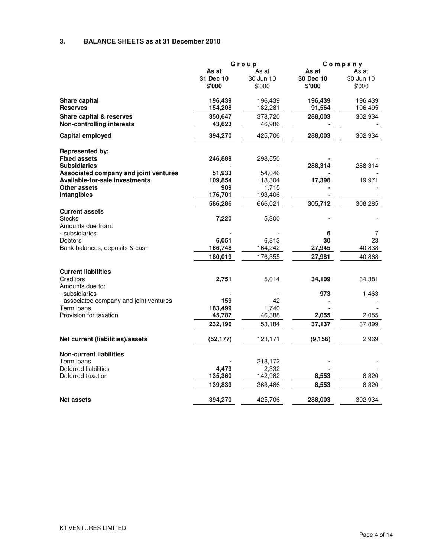#### **3. BALANCE SHEETS as at 31 December 2010**

|                                                           |           | Group     |           | Company   |
|-----------------------------------------------------------|-----------|-----------|-----------|-----------|
|                                                           | As at     | As at     | As at     | As at     |
|                                                           | 31 Dec 10 | 30 Jun 10 | 30 Dec 10 | 30 Jun 10 |
|                                                           | \$'000    | \$'000    | \$'000    | \$'000    |
| <b>Share capital</b>                                      | 196,439   | 196,439   | 196,439   | 196,439   |
| <b>Reserves</b>                                           | 154,208   | 182,281   | 91,564    | 106,495   |
| <b>Share capital &amp; reserves</b>                       | 350,647   | 378,720   | 288,003   | 302,934   |
| <b>Non-controlling interests</b>                          | 43,623    | 46,986    |           |           |
| Capital employed                                          | 394,270   | 425,706   | 288,003   | 302,934   |
| <b>Represented by:</b>                                    |           |           |           |           |
| <b>Fixed assets</b>                                       | 246,889   | 298,550   |           |           |
| <b>Subsidiaries</b>                                       |           |           | 288,314   | 288,314   |
| Associated company and joint ventures                     | 51,933    | 54,046    |           |           |
| <b>Available-for-sale investments</b>                     | 109,854   | 118,304   | 17,398    | 19,971    |
| Other assets                                              | 909       | 1,715     |           |           |
| Intangibles                                               | 176,701   | 193,406   |           |           |
|                                                           | 586,286   | 666,021   | 305,712   | 308,285   |
| <b>Current assets</b><br><b>Stocks</b>                    | 7,220     | 5,300     |           |           |
| Amounts due from:                                         |           |           |           |           |
| - subsidiaries                                            |           |           | 6         | 7         |
| Debtors                                                   | 6,051     | 6,813     | 30        | 23        |
| Bank balances, deposits & cash                            | 166,748   | 164,242   | 27,945    | 40,838    |
|                                                           | 180,019   | 176,355   | 27,981    | 40,868    |
|                                                           |           |           |           |           |
| <b>Current liabilities</b>                                |           |           |           |           |
| Creditors                                                 | 2,751     | 5,014     | 34,109    | 34,381    |
| Amounts due to:                                           |           |           |           |           |
| - subsidiaries<br>- associated company and joint ventures | 159       | 42        | 973       | 1,463     |
| Term loans                                                | 183,499   | 1,740     |           |           |
| Provision for taxation                                    | 45,787    | 46,388    | 2,055     | 2,055     |
|                                                           |           |           | 37,137    |           |
|                                                           | 232,196   | 53,184    |           | 37,899    |
| Net current (liabilities)/assets                          | (52, 177) | 123,171   | (9, 156)  | 2,969     |
| <b>Non-current liabilities</b>                            |           |           |           |           |
| Term loans                                                |           | 218,172   |           |           |
| Deferred liabilities                                      | 4,479     | 2,332     |           |           |
| Deferred taxation                                         | 135,360   | 142,982   | 8,553     | 8,320     |
|                                                           | 139,839   | 363,486   | 8,553     | 8,320     |
| <b>Net assets</b>                                         | 394,270   | 425,706   | 288,003   | 302,934   |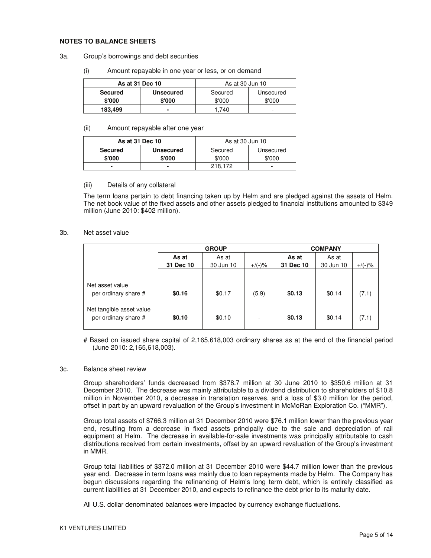#### **NOTES TO BALANCE SHEETS**

- 3a. Group's borrowings and debt securities
	- (i) Amount repayable in one year or less, or on demand

| As at 31 Dec 10 |                  | As at 30 Jun 10      |        |  |
|-----------------|------------------|----------------------|--------|--|
| <b>Secured</b>  | <b>Unsecured</b> | Secured<br>Unsecured |        |  |
| \$'000          | \$'000           | \$'000               | \$'000 |  |
| 183.499         |                  | .740                 | -      |  |

#### (ii) Amount repayable after one year

| As at 31 Dec 10 |                  | As at 30 Jun 10 |           |  |
|-----------------|------------------|-----------------|-----------|--|
| <b>Secured</b>  | <b>Unsecured</b> | Secured         | Unsecured |  |
| \$'000          | \$'000           | \$'000          | \$'000    |  |
|                 | ۰                | 218.172         |           |  |

#### (iii) Details of any collateral

The term loans pertain to debt financing taken up by Helm and are pledged against the assets of Helm. The net book value of the fixed assets and other assets pledged to financial institutions amounted to \$349 million (June 2010: \$402 million).

#### 3b. Net asset value

|                                                  |           | <b>GROUP</b> |           |           | <b>COMPANY</b> |           |
|--------------------------------------------------|-----------|--------------|-----------|-----------|----------------|-----------|
|                                                  | As at     | As at        |           | As at     | As at          |           |
|                                                  | 31 Dec 10 | 30 Jun 10    | $+/(-)$ % | 31 Dec 10 | 30 Jun 10      | $+/(-)$ % |
| Net asset value<br>per ordinary share #          | \$0.16    | \$0.17       | (5.9)     | \$0.13    | \$0.14         | (7.1)     |
| Net tangible asset value<br>per ordinary share # | \$0.10    | \$0.10       |           | \$0.13    | \$0.14         | (7.1)     |

# Based on issued share capital of 2,165,618,003 ordinary shares as at the end of the financial period (June 2010: 2,165,618,003).

#### 3c. Balance sheet review

Group shareholders' funds decreased from \$378.7 million at 30 June 2010 to \$350.6 million at 31 December 2010. The decrease was mainly attributable to a dividend distribution to shareholders of \$10.8 million in November 2010, a decrease in translation reserves, and a loss of \$3.0 million for the period, offset in part by an upward revaluation of the Group's investment in McMoRan Exploration Co. ("MMR").

Group total assets of \$766.3 million at 31 December 2010 were \$76.1 million lower than the previous year end, resulting from a decrease in fixed assets principally due to the sale and depreciation of rail equipment at Helm. The decrease in available-for-sale investments was principally attributable to cash distributions received from certain investments, offset by an upward revaluation of the Group's investment in MMR.

Group total liabilities of \$372.0 million at 31 December 2010 were \$44.7 million lower than the previous year end. Decrease in term loans was mainly due to loan repayments made by Helm. The Company has begun discussions regarding the refinancing of Helm's long term debt, which is entirely classified as current liabilities at 31 December 2010, and expects to refinance the debt prior to its maturity date.

All U.S. dollar denominated balances were impacted by currency exchange fluctuations.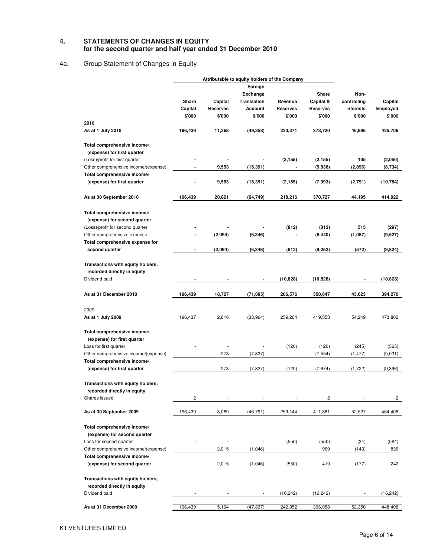#### **4. STATEMENTS OF CHANGES IN EQUITY for the second quarter and half year ended 31 December 2010**

# 4a. Group Statement of Changes in Equity

|                                              |                          |                 | Attributable to equity holders of the Company |                 |                 |                  |                         |
|----------------------------------------------|--------------------------|-----------------|-----------------------------------------------|-----------------|-----------------|------------------|-------------------------|
|                                              |                          |                 | Foreign                                       |                 |                 |                  |                         |
|                                              |                          |                 | <b>Exchange</b>                               |                 | Share           | Non-             |                         |
|                                              | Share                    | Capital         | <b>Translation</b>                            | Revenue         | Capital &       | controlling      | Capital                 |
|                                              | Capital                  | <b>Reserves</b> | <u>Account</u>                                | <b>Reserves</b> | <b>Reserves</b> | <b>Interests</b> | Employed                |
|                                              | \$'000                   | \$'000          | \$'000                                        | \$'000          | \$'000          | \$'000           | \$'000                  |
| 2010                                         |                          |                 |                                               |                 |                 |                  |                         |
| As at 1 July 2010                            | 196,439                  | 11,268          | (49, 358)                                     | 220,371         | 378,720         | 46,986           | 425,706                 |
| Total comprehensive income/                  |                          |                 |                                               |                 |                 |                  |                         |
| (expense) for first quarter                  |                          |                 |                                               |                 |                 |                  |                         |
| (Loss)/profit for first quarter              |                          |                 |                                               | (2, 155)        | (2, 155)        | 105<br>(2,896)   | (2,050)                 |
| Other comprehensive income/(expense)         |                          | 9,553           | (15, 391)                                     |                 | (5,838)         |                  | (8,734)                 |
| Total comprehensive income/                  |                          |                 |                                               |                 |                 |                  |                         |
| (expense) for first quarter                  | $\blacksquare$           | 9,553           | (15, 391)                                     | (2, 155)        | (7,993)         | (2,791)          | (10, 784)               |
| As at 30 September 2010                      | 196,439                  | 20,821          | (64, 749)                                     | 218,216         | 370,727         | 44,195           | 414,922                 |
| Total comprehensive income/                  |                          |                 |                                               |                 |                 |                  |                         |
| (expense) for second quarter                 |                          |                 |                                               |                 |                 |                  |                         |
| (Loss)/profit for second quarter             |                          |                 |                                               | (812)           | (812)           | 515              | (297)                   |
| Other comprehensive expense                  | $\blacksquare$           | (2,094)         | (6, 346)                                      |                 | (8, 440)        | (1,087)          | (9,527)                 |
| Total comprehensive expense for              |                          |                 |                                               |                 |                 |                  |                         |
| second quarter                               |                          | (2,094)         | (6, 346)                                      | (812)           | (9,252)         | (572)            | (9,824)                 |
|                                              |                          |                 |                                               |                 |                 |                  |                         |
| Transactions with equity holders,            |                          |                 |                                               |                 |                 |                  |                         |
| recorded directly in equity                  |                          |                 |                                               |                 |                 |                  |                         |
| Dividend paid                                |                          |                 |                                               | (10, 828)       | (10, 828)       |                  | (10, 828)               |
| As at 31 December 2010                       | 196,439                  | 18,727          | (71, 095)                                     | 206,576         | 350,647         | 43,623           | 394,270                 |
| 2009                                         |                          |                 |                                               |                 |                 |                  |                         |
| As at 1 July 2009                            | 196,437                  | 2,816           | (38, 964)                                     | 259,264         | 419,553         | 54,249           | 473,802                 |
|                                              |                          |                 |                                               |                 |                 |                  |                         |
| Total comprehensive income/                  |                          |                 |                                               |                 |                 |                  |                         |
| (expense) for first quarter                  |                          |                 |                                               |                 |                 |                  |                         |
| Loss for first quarter                       |                          |                 |                                               | (120)           | (120)           | (245)            | (365)                   |
| Other comprehensive income/(expense)         |                          | 273             | (7, 827)                                      |                 | (7, 554)        | (1, 477)         | (9,031)                 |
| Total comprehensive income/                  |                          |                 |                                               |                 |                 |                  |                         |
| (expense) for first quarter                  | $\overline{\phantom{a}}$ | 273             | (7, 827)                                      | (120)           | (7,674)         | (1,722)          | (9,396)                 |
|                                              |                          |                 |                                               |                 |                 |                  |                         |
| Transactions with equity holders,            |                          |                 |                                               |                 |                 |                  |                         |
| recorded directly in equity                  |                          |                 |                                               |                 |                 |                  |                         |
| Shares issued                                | $\overline{\mathbf{c}}$  |                 |                                               |                 | 2               |                  | $\overline{\mathbf{c}}$ |
| As at 30 September 2009                      | 196,439                  | 3,089           | (46, 791)                                     | 259,144         | 411,881         | 52,527           | 464,408                 |
| Total comprehensive income/                  |                          |                 |                                               |                 |                 |                  |                         |
| (expense) for second quarter                 |                          |                 |                                               |                 |                 |                  |                         |
| Loss for second quarter                      |                          |                 |                                               | (550)           | (550)           | (34)             | (584)                   |
| Other comprehensive income/(expense)         |                          | 2,015           | (1,046)                                       |                 | 969             | (143)            | 826                     |
| Total comprehensive income/                  |                          |                 |                                               |                 |                 |                  |                         |
| (expense) for second quarter                 |                          | 2,015           | (1,046)                                       | (550)           | 419             | (177)            | 242                     |
| Transactions with equity holders,            |                          |                 |                                               |                 |                 |                  |                         |
|                                              |                          |                 |                                               |                 |                 |                  |                         |
| recorded directly in equity<br>Dividend paid |                          |                 |                                               | (16, 242)       | (16, 242)       |                  | (16, 242)               |
|                                              |                          |                 |                                               |                 |                 |                  |                         |
| As at 31 December 2009                       | 196,439                  | 5,104           | (47, 837)                                     | 242,352         | 396,058         | 52,350           | 448,408                 |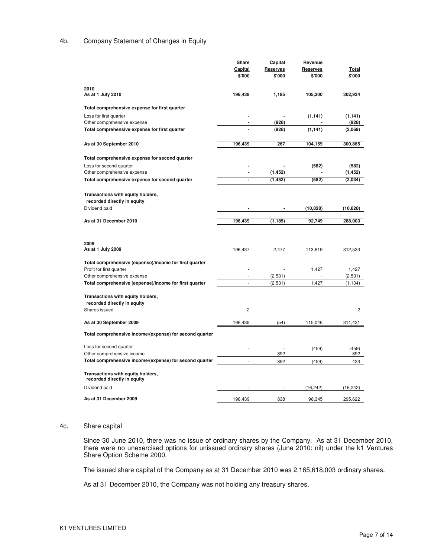#### 4b. Company Statement of Changes in Equity

| <b>Capital</b><br><b>Reserves</b><br><b>Reserves</b>                             |           |
|----------------------------------------------------------------------------------|-----------|
|                                                                                  | Total     |
| \$'000<br>\$'000<br>\$'000                                                       | \$'000    |
|                                                                                  |           |
| 2010                                                                             |           |
| As at 1 July 2010<br>196,439<br>1,195<br>105,300                                 | 302,934   |
| Total comprehensive expense for first quarter                                    |           |
| Loss for first quarter<br>(1, 141)                                               | (1, 141)  |
| (928)<br>Other comprehensive expense<br>$\blacksquare$                           | (928)     |
| Total comprehensive expense for first quarter<br>(928)<br>(1, 141)               | (2,069)   |
|                                                                                  |           |
| 196,439<br>267<br>104,159<br>As at 30 September 2010                             | 300,865   |
|                                                                                  |           |
| Total comprehensive expense for second quarter                                   |           |
| Loss for second quarter<br>(582)                                                 | (582)     |
| Other comprehensive expense<br>(1, 452)<br>$\blacksquare$                        | (1, 452)  |
| Total comprehensive expense for second quarter<br>(1, 452)<br>(582)<br>ä,        | (2,034)   |
|                                                                                  |           |
| Transactions with equity holders,                                                |           |
| recorded directly in equity                                                      |           |
| Dividend paid<br>(10, 828)                                                       | (10, 828) |
|                                                                                  |           |
| As at 31 December 2010<br>196,439<br>(1, 185)<br>92,749                          | 288,003   |
|                                                                                  |           |
|                                                                                  |           |
|                                                                                  |           |
| 2009                                                                             |           |
| As at 1 July 2009<br>196,437<br>2,477<br>113,619                                 | 312,533   |
|                                                                                  |           |
| Total comprehensive (expense)/income for first quarter                           |           |
| Profit for first quarter<br>1,427                                                | 1,427     |
| (2,531)<br>Other comprehensive expense                                           | (2,531)   |
| Total comprehensive (expense)/income for first quarter<br>1,427<br>÷,<br>(2,531) | (1, 104)  |
|                                                                                  |           |
| Transactions with equity holders,                                                |           |
| recorded directly in equity                                                      |           |
| Shares issued<br>2                                                               | 2         |
|                                                                                  |           |
| 196,439<br>115,046<br>As at 30 September 2009<br>(54)                            | 311,431   |
| Total comprehensive income/(expense) for second quarter                          |           |
|                                                                                  |           |
| Loss for second quarter<br>(459)                                                 | (459)     |
| Other comprehensive income<br>892                                                | 892       |
| Total comprehensive income/(expense) for second quarter<br>892<br>(459)          | 433       |
|                                                                                  |           |
| Transactions with equity holders,                                                |           |
| recorded directly in equity                                                      |           |
| Dividend paid<br>(16, 242)                                                       | (16, 242) |

#### 4c. Share capital

Since 30 June 2010, there was no issue of ordinary shares by the Company. As at 31 December 2010, there were no unexercised options for unissued ordinary shares (June 2010: nil) under the k1 Ventures Share Option Scheme 2000.

The issued share capital of the Company as at 31 December 2010 was 2,165,618,003 ordinary shares.

As at 31 December 2010, the Company was not holding any treasury shares.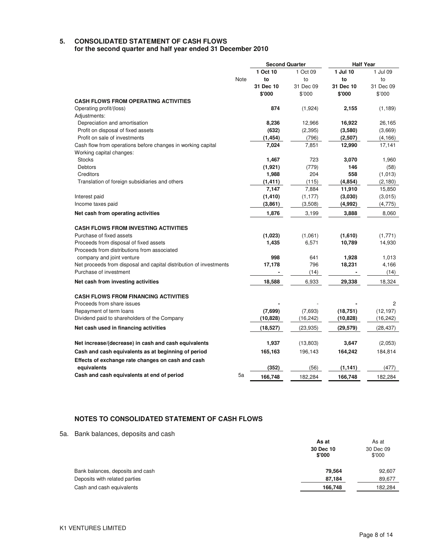# **5. CONSOLIDATED STATEMENT OF CASH FLOWS**

**for the second quarter and half year ended 31 December 2010** 

|                                                                    |      | <b>Second Quarter</b> |           | <b>Half Year</b> |           |
|--------------------------------------------------------------------|------|-----------------------|-----------|------------------|-----------|
|                                                                    |      | 1 Oct 10              | 1 Oct 09  | 1 Jul 10         | 1 Jul 09  |
|                                                                    | Note | to                    | to        | to               | to        |
|                                                                    |      | 31 Dec 10             | 31 Dec 09 | 31 Dec 10        | 31 Dec 09 |
|                                                                    |      | \$'000                | \$'000    | \$'000           | \$'000    |
| <b>CASH FLOWS FROM OPERATING ACTIVITIES</b>                        |      |                       |           |                  |           |
| Operating profit/(loss)                                            |      | 874                   | (1,924)   | 2,155            | (1, 189)  |
| Adjustments:                                                       |      |                       |           |                  |           |
| Depreciation and amortisation                                      |      | 8,236                 | 12,966    | 16,922           | 26,165    |
| Profit on disposal of fixed assets                                 |      | (632)                 | (2, 395)  | (3,580)          | (3,669)   |
| Profit on sale of investments                                      |      | (1, 454)              | (796)     | (2,507)          | (4, 166)  |
| Cash flow from operations before changes in working capital        |      | 7,024                 | 7,851     | 12,990           | 17,141    |
| Working capital changes:                                           |      |                       |           |                  |           |
| <b>Stocks</b>                                                      |      | 1,467                 | 723       | 3,070            | 1,960     |
| <b>Debtors</b>                                                     |      | (1, 921)              | (779)     | 146              | (58)      |
| Creditors                                                          |      | 1,988                 | 204       | 558              | (1,013)   |
| Translation of foreign subsidiaries and others                     |      | (1, 411)              | (115)     | (4, 854)         | (2, 180)  |
|                                                                    |      | 7,147                 | 7,884     | 11,910           | 15,850    |
| Interest paid                                                      |      | (1, 410)              | (1, 177)  | (3,030)          | (3,015)   |
| Income taxes paid                                                  |      | (3,861)               | (3,508)   | (4,992)          | (4, 775)  |
| Net cash from operating activities                                 |      | 1,876                 | 3,199     | 3,888            | 8,060     |
| <b>CASH FLOWS FROM INVESTING ACTIVITIES</b>                        |      |                       |           |                  |           |
| Purchase of fixed assets                                           |      | (1,023)               | (1,061)   | (1,610)          | (1,771)   |
| Proceeds from disposal of fixed assets                             |      | 1,435                 | 6,571     | 10,789           | 14,930    |
| Proceeds from distributions from associated                        |      |                       |           |                  |           |
| company and joint venture                                          |      | 998                   | 641       | 1,928            | 1,013     |
| Net proceeds from disposal and capital distribution of investments |      | 17,178                | 796       | 18,231           | 4,166     |
| Purchase of investment                                             |      |                       | (14)      |                  | (14)      |
| Net cash from investing activities                                 |      | 18,588                | 6,933     | 29,338           | 18,324    |
| <b>CASH FLOWS FROM FINANCING ACTIVITIES</b>                        |      |                       |           |                  |           |
| Proceeds from share issues                                         |      |                       |           |                  | 2         |
| Repayment of term loans                                            |      | (7,699)               | (7,693)   | (18, 751)        | (12, 197) |
| Dividend paid to shareholders of the Company                       |      | (10, 828)             | (16, 242) | (10, 828)        | (16, 242) |
| Net cash used in financing activities                              |      | (18, 527)             | (23, 935) | (29, 579)        | (28, 437) |
| Net increase/(decrease) in cash and cash equivalents               |      | 1,937                 | (13,803)  | 3,647            | (2,053)   |
|                                                                    |      |                       |           |                  |           |
| Cash and cash equivalents as at beginning of period                |      | 165,163               | 196,143   | 164,242          | 184,814   |
| Effects of exchange rate changes on cash and cash                  |      |                       |           |                  |           |
| equivalents                                                        |      | (352)                 | (56)      | (1, 141)         | (477)     |
| Cash and cash equivalents at end of period                         | 5a   | 166.748               | 182.284   | 166.748          | 182.284   |

## **NOTES TO CONSOLIDATED STATEMENT OF CASH FLOWS**

5a. Bank balances, deposits and cash

|                                  | As at               |                     |
|----------------------------------|---------------------|---------------------|
|                                  | 30 Dec 10<br>\$'000 | 30 Dec 09<br>\$'000 |
| Bank balances, deposits and cash | 79.564              | 92,607              |
| Deposits with related parties    | 87,184              | 89,677              |
| Cash and cash equivalents        | 166,748             | 182.284             |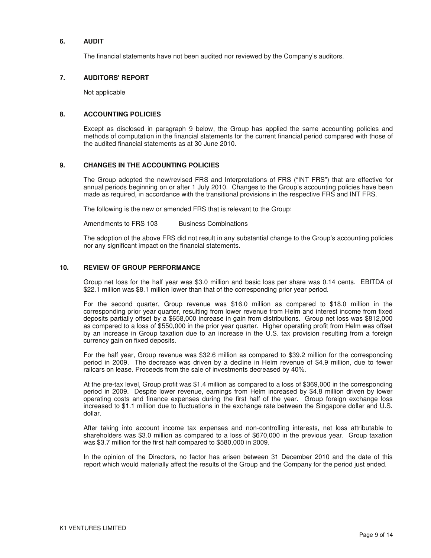#### **6. AUDIT**

The financial statements have not been audited nor reviewed by the Company's auditors.

#### **7. AUDITORS' REPORT**

Not applicable

#### **8. ACCOUNTING POLICIES**

Except as disclosed in paragraph 9 below, the Group has applied the same accounting policies and methods of computation in the financial statements for the current financial period compared with those of the audited financial statements as at 30 June 2010.

#### **9. CHANGES IN THE ACCOUNTING POLICIES**

The Group adopted the new/revised FRS and Interpretations of FRS ("INT FRS") that are effective for annual periods beginning on or after 1 July 2010. Changes to the Group's accounting policies have been made as required, in accordance with the transitional provisions in the respective FRS and INT FRS.

The following is the new or amended FRS that is relevant to the Group:

Amendments to FRS 103 Business Combinations

The adoption of the above FRS did not result in any substantial change to the Group's accounting policies nor any significant impact on the financial statements.

#### **10. REVIEW OF GROUP PERFORMANCE**

Group net loss for the half year was \$3.0 million and basic loss per share was 0.14 cents. EBITDA of \$22.1 million was \$8.1 million lower than that of the corresponding prior year period.

For the second quarter, Group revenue was \$16.0 million as compared to \$18.0 million in the corresponding prior year quarter, resulting from lower revenue from Helm and interest income from fixed deposits partially offset by a \$658,000 increase in gain from distributions. Group net loss was \$812,000 as compared to a loss of \$550,000 in the prior year quarter. Higher operating profit from Helm was offset by an increase in Group taxation due to an increase in the U.S. tax provision resulting from a foreign currency gain on fixed deposits.

For the half year, Group revenue was \$32.6 million as compared to \$39.2 million for the corresponding period in 2009. The decrease was driven by a decline in Helm revenue of \$4.9 million, due to fewer railcars on lease. Proceeds from the sale of investments decreased by 40%.

At the pre-tax level, Group profit was \$1.4 million as compared to a loss of \$369,000 in the corresponding period in 2009. Despite lower revenue, earnings from Helm increased by \$4.8 million driven by lower operating costs and finance expenses during the first half of the year. Group foreign exchange loss increased to \$1.1 million due to fluctuations in the exchange rate between the Singapore dollar and U.S. dollar.

After taking into account income tax expenses and non-controlling interests, net loss attributable to shareholders was \$3.0 million as compared to a loss of \$670,000 in the previous year. Group taxation was \$3.7 million for the first half compared to \$580,000 in 2009.

In the opinion of the Directors, no factor has arisen between 31 December 2010 and the date of this report which would materially affect the results of the Group and the Company for the period just ended.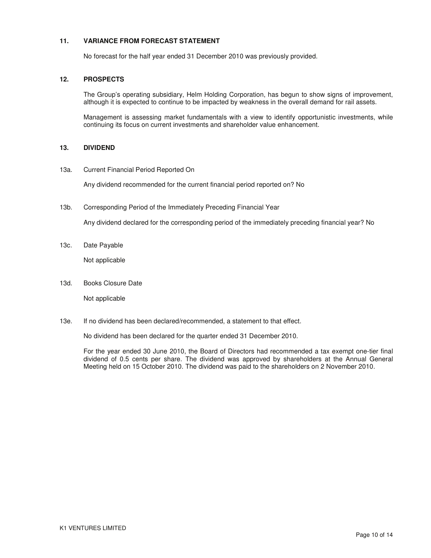#### **11. VARIANCE FROM FORECAST STATEMENT**

No forecast for the half year ended 31 December 2010 was previously provided.

#### **12. PROSPECTS**

The Group's operating subsidiary, Helm Holding Corporation, has begun to show signs of improvement, although it is expected to continue to be impacted by weakness in the overall demand for rail assets.

Management is assessing market fundamentals with a view to identify opportunistic investments, while continuing its focus on current investments and shareholder value enhancement.

### **13. DIVIDEND**

13a. Current Financial Period Reported On

Any dividend recommended for the current financial period reported on? No

13b. Corresponding Period of the Immediately Preceding Financial Year

Any dividend declared for the corresponding period of the immediately preceding financial year? No

13c. Date Payable

Not applicable

13d. Books Closure Date

Not applicable

13e. If no dividend has been declared/recommended, a statement to that effect.

No dividend has been declared for the quarter ended 31 December 2010.

For the year ended 30 June 2010, the Board of Directors had recommended a tax exempt one-tier final dividend of 0.5 cents per share. The dividend was approved by shareholders at the Annual General Meeting held on 15 October 2010. The dividend was paid to the shareholders on 2 November 2010.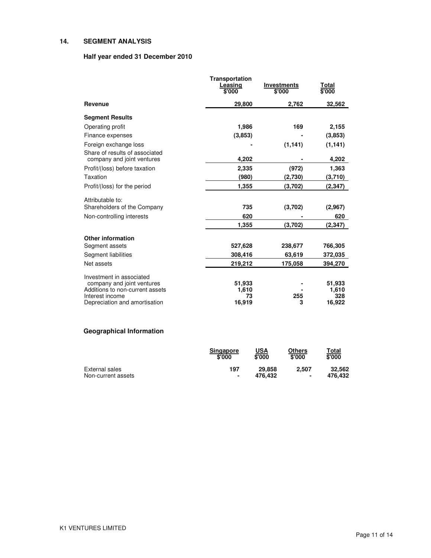### **14. SEGMENT ANALYSIS**

## **Half year ended 31 December 2010**

|                                                              | <b>Transportation</b><br>Leasing<br>\$'000 | <b>Investments</b><br>\$'000 | Total<br>\$'000 |
|--------------------------------------------------------------|--------------------------------------------|------------------------------|-----------------|
| Revenue                                                      | 29,800                                     | 2,762                        | 32,562          |
| <b>Segment Results</b>                                       |                                            |                              |                 |
| Operating profit                                             | 1,986                                      | 169                          | 2,155           |
| Finance expenses                                             | (3,853)                                    |                              | (3,853)         |
| Foreign exchange loss                                        |                                            | (1, 141)                     | (1, 141)        |
| Share of results of associated<br>company and joint ventures | 4,202                                      |                              | 4,202           |
| Profit/(loss) before taxation                                | 2,335                                      | (972)                        | 1,363           |
| Taxation                                                     | (980)                                      | (2,730)                      | (3,710)         |
| Profit/(loss) for the period                                 | 1,355                                      | (3,702)                      | (2, 347)        |
| Attributable to:                                             |                                            |                              |                 |
| Shareholders of the Company                                  | 735                                        | (3,702)                      | (2,967)         |
| Non-controlling interests                                    | 620                                        |                              | 620             |
|                                                              | 1,355                                      | (3,702)                      | (2, 347)        |
| <b>Other information</b>                                     |                                            |                              |                 |
| Segment assets                                               | 527,628                                    | 238,677                      | 766,305         |
| Segment liabilities                                          | 308,416                                    | 63,619                       | 372,035         |
| Net assets                                                   | 219,212                                    | 175,058                      | 394,270         |
| Investment in associated                                     |                                            |                              |                 |
| company and joint ventures                                   | 51,933                                     |                              | 51,933          |
| Additions to non-current assets<br>Interest income           | 1,610<br>73                                | 255                          | 1,610<br>328    |
| Depreciation and amortisation                                | 16,919                                     | 3                            | 16,922          |

# **Geographical Information**

|                    | <b>Singapore</b><br>\$'000 | USA<br>\$'000     | Others<br>\$'000 | Total<br>\$'000   |
|--------------------|----------------------------|-------------------|------------------|-------------------|
| External sales     | 197<br>٠                   | 29,858<br>476.432 | 2.507            | 32.562<br>476.432 |
| Non-current assets |                            |                   | ٠                |                   |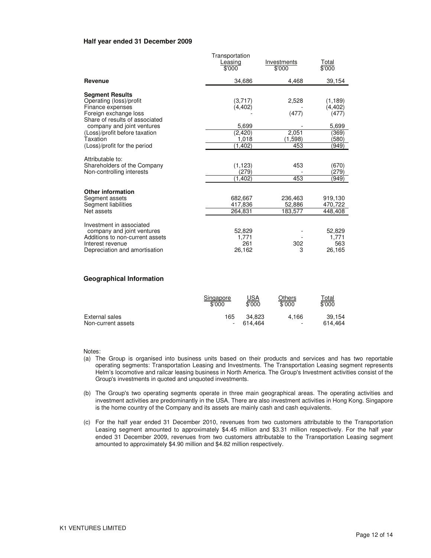#### **Half year ended 31 December 2009**

|                                                                                                                                                                                                                                             | Transportation<br>Leasing<br>\$'000                          | Investments<br>\$'000                     | Total<br>\$'000                                                   |
|---------------------------------------------------------------------------------------------------------------------------------------------------------------------------------------------------------------------------------------------|--------------------------------------------------------------|-------------------------------------------|-------------------------------------------------------------------|
| Revenue                                                                                                                                                                                                                                     | 34,686                                                       | 4.468                                     | 39,154                                                            |
| <b>Segment Results</b><br>Operating (loss)/profit<br>Finance expenses<br>Foreign exchange loss<br>Share of results of associated<br>company and joint ventures<br>(Loss)/profit before taxation<br>Taxation<br>(Loss)/profit for the period | (3,717)<br>(4, 402)<br>5,699<br>(2,420)<br>1,018<br>(1, 402) | 2,528<br>(477)<br>2,051<br>(1,598)<br>453 | (1, 189)<br>(4, 402)<br>(477)<br>5,699<br>(369)<br>(580)<br>(949) |
| Attributable to:<br>Shareholders of the Company<br>Non-controlling interests                                                                                                                                                                | (1, 123)<br>(279)<br>(1.402)                                 | 453<br>453                                | (670)<br>(279)<br>(949)                                           |
| <b>Other information</b><br>Segment assets<br>Segment liabilities<br>Net assets                                                                                                                                                             | 682,667<br>417,836<br>264.831                                | 236,463<br>52,886<br>183,577              | 919,130<br>470,722<br>448,408                                     |
| Investment in associated<br>company and joint ventures<br>Additions to non-current assets<br>Interest revenue<br>Depreciation and amortisation                                                                                              | 52,829<br>1,771<br>261<br>26,162                             | 302<br>3                                  | 52,829<br>1,771<br>563<br>26,165                                  |

#### **Geographical Information**

|                    | Singapore | <u>USA</u> | Others                   | <u>Total</u> |
|--------------------|-----------|------------|--------------------------|--------------|
|                    | \$'000    | \$'000     | \$'000                   | \$'000       |
| External sales     | 165       | 34.823     | 4.166                    | 39.154       |
| Non-current assets |           | 614.464    | $\overline{\phantom{a}}$ | 614.464      |

Notes:

- (a) The Group is organised into business units based on their products and services and has two reportable operating segments: Transportation Leasing and Investments. The Transportation Leasing segment represents Helm's locomotive and railcar leasing business in North America. The Group's Investment activities consist of the Group's investments in quoted and unquoted investments.
- (b) The Group's two operating segments operate in three main geographical areas. The operating activities and investment activities are predominantly in the USA. There are also investment activities in Hong Kong. Singapore is the home country of the Company and its assets are mainly cash and cash equivalents.
- (c) For the half year ended 31 December 2010, revenues from two customers attributable to the Transportation Leasing segment amounted to approximately \$4.45 million and \$3.31 million respectively. For the half year ended 31 December 2009, revenues from two customers attributable to the Transportation Leasing segment amounted to approximately \$4.90 million and \$4.82 million respectively.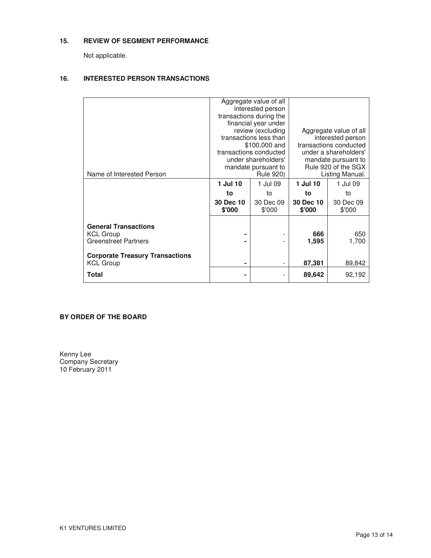## **15. REVIEW OF SEGMENT PERFORMANCE**

Not applicable.

## **16. INTERESTED PERSON TRANSACTIONS**

|                                        |           | Aggregate value of all<br>interested person |                        |                       |  |
|----------------------------------------|-----------|---------------------------------------------|------------------------|-----------------------|--|
|                                        |           |                                             |                        |                       |  |
|                                        |           | transactions during the                     |                        |                       |  |
|                                        |           | financial year under                        |                        |                       |  |
|                                        |           | review (excluding                           | Aggregate value of all |                       |  |
|                                        |           | transactions less than                      | interested person      |                       |  |
|                                        |           | \$100,000 and                               | transactions conducted |                       |  |
|                                        |           | transactions conducted                      |                        | under a shareholders' |  |
|                                        |           | under shareholders'                         | mandate pursuant to    |                       |  |
|                                        |           | mandate pursuant to                         | Rule 920 of the SGX    |                       |  |
| Name of Interested Person              |           | <b>Rule 920)</b>                            | Listing Manual.        |                       |  |
|                                        | 1 Jul 10  | 1 Jul 09                                    | 1 Jul 10               | 1 Jul 09              |  |
|                                        | to        | to                                          | to                     | to                    |  |
|                                        | 30 Dec 10 | 30 Dec 09                                   | 30 Dec 10              | 30 Dec 09             |  |
|                                        | \$'000    | \$'000                                      | \$'000                 | \$'000                |  |
|                                        |           |                                             |                        |                       |  |
| <b>General Transactions</b>            |           |                                             |                        |                       |  |
| <b>KCL Group</b>                       | ۰         |                                             | 666                    | 650                   |  |
| <b>Greenstreet Partners</b>            |           |                                             |                        |                       |  |
|                                        |           |                                             | 1,595                  | 1,700                 |  |
|                                        |           |                                             |                        |                       |  |
| <b>Corporate Treasury Transactions</b> |           |                                             |                        |                       |  |
| <b>KCL Group</b>                       | ۰         | $\qquad \qquad \blacksquare$                | 87,381                 | 89,842                |  |
| Total                                  |           |                                             | 89,642                 | 92,192                |  |
|                                        |           |                                             |                        |                       |  |

## **BY ORDER OF THE BOARD**

Kenny Lee Company Secretary 10 February 2011